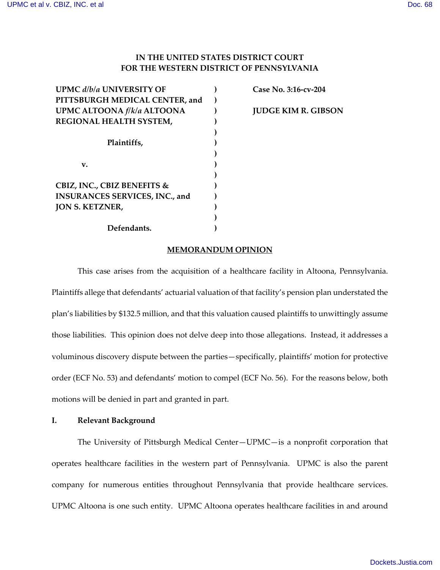## **IN THE UNITED STATES DISTRICT COURT FOR THE WESTERN DISTRICT OF PENNSYLVANIA**

| <b>UPMC d/b/a UNIVERSITY OF</b>        |  |
|----------------------------------------|--|
| PITTSBURGH MEDICAL CENTER, and         |  |
| UPMC ALTOONA f/k/a ALTOONA             |  |
| REGIONAL HEALTH SYSTEM,                |  |
|                                        |  |
| Plaintiffs,                            |  |
|                                        |  |
| v.                                     |  |
|                                        |  |
| <b>CBIZ, INC., CBIZ BENEFITS &amp;</b> |  |
| <b>INSURANCES SERVICES, INC., and</b>  |  |
| <b>JON S. KETZNER,</b>                 |  |
|                                        |  |
| Defendants.                            |  |

 **Case No. 3:16-cv-204 JUDGE KIM R. GIBSON**

### **MEMORANDUM OPINION**

This case arises from the acquisition of a healthcare facility in Altoona, Pennsylvania. Plaintiffs allege that defendants' actuarial valuation of that facility's pension plan understated the plan's liabilities by \$132.5 million, and that this valuation caused plaintiffs to unwittingly assume those liabilities. This opinion does not delve deep into those allegations. Instead, it addresses a voluminous discovery dispute between the parties—specifically, plaintiffs' motion for protective order (ECF No. 53) and defendants' motion to compel (ECF No. 56). For the reasons below, both motions will be denied in part and granted in part.

### **I. Relevant Background**

The University of Pittsburgh Medical Center—UPMC—is a nonprofit corporation that operates healthcare facilities in the western part of Pennsylvania. UPMC is also the parent company for numerous entities throughout Pennsylvania that provide healthcare services. UPMC Altoona is one such entity. UPMC Altoona operates healthcare facilities in and around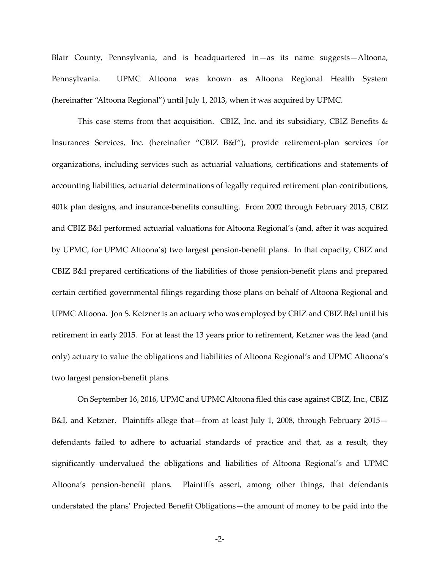Blair County, Pennsylvania, and is headquartered in—as its name suggests—Altoona, Pennsylvania. UPMC Altoona was known as Altoona Regional Health System (hereinafter "Altoona Regional") until July 1, 2013, when it was acquired by UPMC.

This case stems from that acquisition. CBIZ, Inc. and its subsidiary, CBIZ Benefits  $\&$ Insurances Services, Inc. (hereinafter "CBIZ B&I"), provide retirement-plan services for organizations, including services such as actuarial valuations, certifications and statements of accounting liabilities, actuarial determinations of legally required retirement plan contributions, 401k plan designs, and insurance-benefits consulting. From 2002 through February 2015, CBIZ and CBIZ B&I performed actuarial valuations for Altoona Regional's (and, after it was acquired by UPMC, for UPMC Altoona's) two largest pension-benefit plans. In that capacity, CBIZ and CBIZ B&I prepared certifications of the liabilities of those pension-benefit plans and prepared certain certified governmental filings regarding those plans on behalf of Altoona Regional and UPMC Altoona. Jon S. Ketzner is an actuary who was employed by CBIZ and CBIZ B&I until his retirement in early 2015. For at least the 13 years prior to retirement, Ketzner was the lead (and only) actuary to value the obligations and liabilities of Altoona Regional's and UPMC Altoona's two largest pension-benefit plans.

On September 16, 2016, UPMC and UPMC Altoona filed this case against CBIZ, Inc., CBIZ B&I, and Ketzner. Plaintiffs allege that—from at least July 1, 2008, through February 2015 defendants failed to adhere to actuarial standards of practice and that, as a result, they significantly undervalued the obligations and liabilities of Altoona Regional's and UPMC Altoona's pension-benefit plans. Plaintiffs assert, among other things, that defendants understated the plans' Projected Benefit Obligations—the amount of money to be paid into the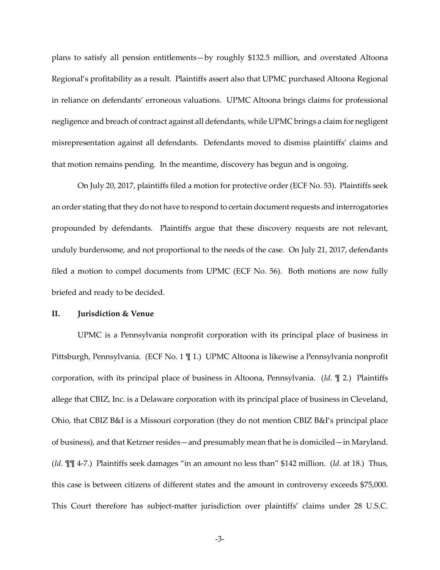plans to satisfy all pension entitlements—by roughly \$132.5 million, and overstated Altoona Regional's profitability as a result. Plaintiffs assert also that UPMC purchased Altoona Regional in reliance on defendants' erroneous valuations. UPMC Altoona brings claims for professional negligence and breach of contract against all defendants, while UPMC brings a claim for negligent misrepresentation against all defendants. Defendants moved to dismiss plaintiffs' claims and that motion remains pending. In the meantime, discovery has begun and is ongoing.

On July 20, 2017, plaintiffs filed a motion for protective order (ECF No. 53). Plaintiffs seek an order stating that they do not have to respond to certain document requests and interrogatories propounded by defendants. Plaintiffs argue that these discovery requests are not relevant, unduly burdensome, and not proportional to the needs of the case. On July 21, 2017, defendants filed a motion to compel documents from UPMC (ECF No. 56). Both motions are now fully briefed and ready to be decided.

#### **II. Jurisdiction & Venue**

UPMC is a Pennsylvania nonprofit corporation with its principal place of business in Pittsburgh, Pennsylvania. (ECF No. 1 ¶ 1.) UPMC Altoona is likewise a Pennsylvania nonprofit corporation, with its principal place of business in Altoona, Pennsylvania. (*Id.* ¶ 2.) Plaintiffs allege that CBIZ, Inc. is a Delaware corporation with its principal place of business in Cleveland, Ohio, that CBIZ B&I is a Missouri corporation (they do not mention CBIZ B&I's principal place of business), and that Ketzner resides—and presumably mean that he is domiciled—in Maryland. (*Id.* ¶¶ 4-7.) Plaintiffs seek damages "in an amount no less than" \$142 million. (*Id.* at 18.) Thus, this case is between citizens of different states and the amount in controversy exceeds \$75,000. This Court therefore has subject-matter jurisdiction over plaintiffs' claims under 28 U.S.C.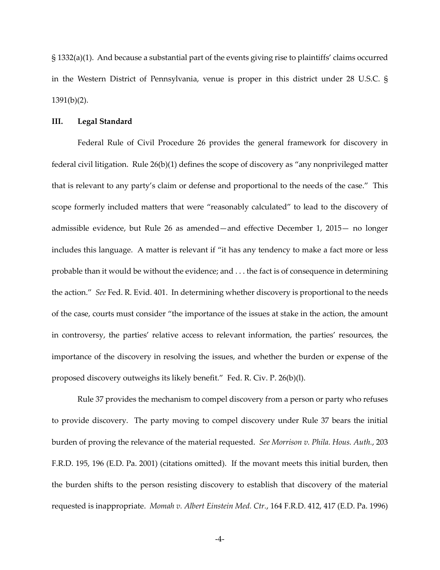§ 1332(a)(1). And because a substantial part of the events giving rise to plaintiffs' claims occurred in the Western District of Pennsylvania, venue is proper in this district under 28 U.S.C. § 1391(b)(2).

#### **III. Legal Standard**

Federal Rule of Civil Procedure 26 provides the general framework for discovery in federal civil litigation. Rule 26(b)(1) defines the scope of discovery as "any nonprivileged matter that is relevant to any party's claim or defense and proportional to the needs of the case." This scope formerly included matters that were "reasonably calculated" to lead to the discovery of admissible evidence, but Rule 26 as amended—and effective December 1, 2015— no longer includes this language. A matter is relevant if "it has any tendency to make a fact more or less probable than it would be without the evidence; and . . . the fact is of consequence in determining the action." *See* Fed. R. Evid. 401. In determining whether discovery is proportional to the needs of the case, courts must consider "the importance of the issues at stake in the action, the amount in controversy, the parties' relative access to relevant information, the parties' resources, the importance of the discovery in resolving the issues, and whether the burden or expense of the proposed discovery outweighs its likely benefit." Fed. R. Civ. P. 26(b)(l).

Rule 37 provides the mechanism to compel discovery from a person or party who refuses to provide discovery. The party moving to compel discovery under Rule 37 bears the initial burden of proving the relevance of the material requested. *See Morrison v. Phila. Hous. Auth.*, 203 F.R.D. 195, 196 (E.D. Pa. 2001) (citations omitted). If the movant meets this initial burden, then the burden shifts to the person resisting discovery to establish that discovery of the material requested is inappropriate. *Momah v. Albert Einstein Med. Ctr.*, 164 F.R.D. 412, 417 (E.D. Pa. 1996)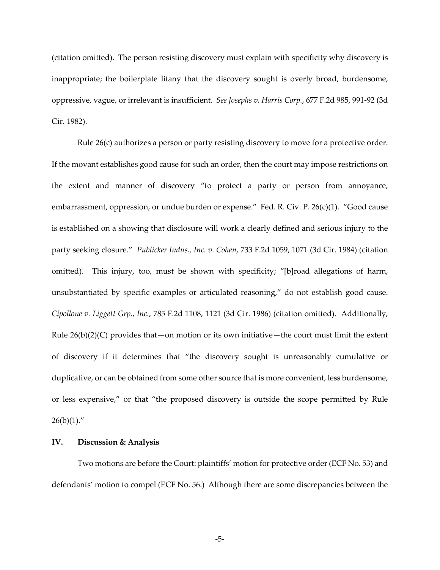(citation omitted). The person resisting discovery must explain with specificity why discovery is inappropriate; the boilerplate litany that the discovery sought is overly broad, burdensome, oppressive, vague, or irrelevant is insufficient. *See Josephs v. Harris Corp.*, 677 F.2d 985, 991-92 (3d Cir. 1982).

Rule 26(c) authorizes a person or party resisting discovery to move for a protective order. If the movant establishes good cause for such an order, then the court may impose restrictions on the extent and manner of discovery "to protect a party or person from annoyance, embarrassment, oppression, or undue burden or expense." Fed. R. Civ. P. 26(c)(1). "Good cause is established on a showing that disclosure will work a clearly defined and serious injury to the party seeking closure." *Publicker Indus., Inc. v. Cohen*, 733 F.2d 1059, 1071 (3d Cir. 1984) (citation omitted). This injury, too, must be shown with specificity; "[b]road allegations of harm, unsubstantiated by specific examples or articulated reasoning," do not establish good cause. *Cipollone v. Liggett Grp., Inc.*, 785 F.2d 1108, 1121 (3d Cir. 1986) (citation omitted). Additionally, Rule  $26(b)(2)(C)$  provides that—on motion or its own initiative—the court must limit the extent of discovery if it determines that "the discovery sought is unreasonably cumulative or duplicative, or can be obtained from some other source that is more convenient, less burdensome, or less expensive," or that "the proposed discovery is outside the scope permitted by Rule  $26(b)(1)$ ."

### **IV. Discussion & Analysis**

Two motions are before the Court: plaintiffs' motion for protective order (ECF No. 53) and defendants' motion to compel (ECF No. 56.) Although there are some discrepancies between the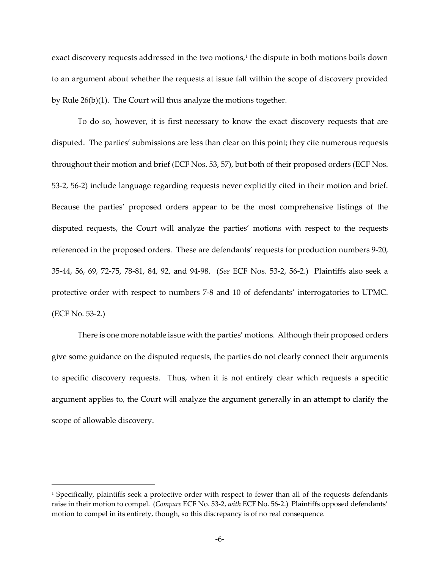exact discovery requests addressed in the two motions, [1](#page-5-0) the dispute in both motions boils down to an argument about whether the requests at issue fall within the scope of discovery provided by Rule 26(b)(1). The Court will thus analyze the motions together.

To do so, however, it is first necessary to know the exact discovery requests that are disputed. The parties' submissions are less than clear on this point; they cite numerous requests throughout their motion and brief (ECF Nos. 53, 57), but both of their proposed orders (ECF Nos. 53-2, 56-2) include language regarding requests never explicitly cited in their motion and brief. Because the parties' proposed orders appear to be the most comprehensive listings of the disputed requests, the Court will analyze the parties' motions with respect to the requests referenced in the proposed orders. These are defendants' requests for production numbers 9-20, 35-44, 56, 69, 72-75, 78-81, 84, 92, and 94-98. (*See* ECF Nos. 53-2, 56-2.) Plaintiffs also seek a protective order with respect to numbers 7-8 and 10 of defendants' interrogatories to UPMC. (ECF No. 53-2.)

There is one more notable issue with the parties' motions. Although their proposed orders give some guidance on the disputed requests, the parties do not clearly connect their arguments to specific discovery requests. Thus, when it is not entirely clear which requests a specific argument applies to, the Court will analyze the argument generally in an attempt to clarify the scope of allowable discovery.

 $\overline{a}$ 

<span id="page-5-0"></span><sup>&</sup>lt;sup>1</sup> Specifically, plaintiffs seek a protective order with respect to fewer than all of the requests defendants raise in their motion to compel. (*Compare* ECF No. 53-2, *with* ECF No. 56-2.) Plaintiffs opposed defendants' motion to compel in its entirety, though, so this discrepancy is of no real consequence.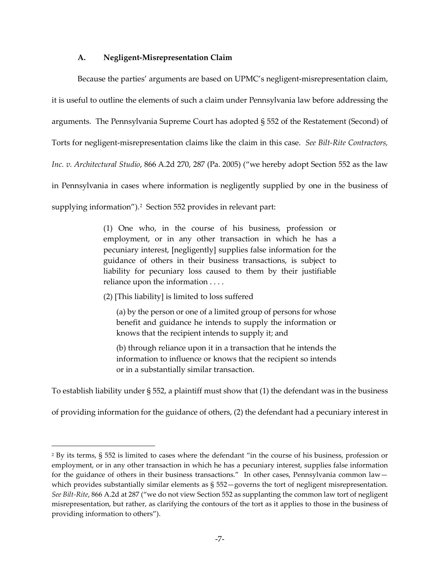### **A. Negligent-Misrepresentation Claim**

Because the parties' arguments are based on UPMC's negligent-misrepresentation claim, it is useful to outline the elements of such a claim under Pennsylvania law before addressing the arguments. The Pennsylvania Supreme Court has adopted § 552 of the Restatement (Second) of Torts for negligent-misrepresentation claims like the claim in this case. *See Bilt-Rite Contractors, Inc. v. Architectural Studio*, 866 A.2d 270, 287 (Pa. 2005) ("we hereby adopt Section 552 as the law in Pennsylvania in cases where information is negligently supplied by one in the business of supplying information").[2](#page-6-0) Section 552 provides in relevant part:

> (1) One who, in the course of his business, profession or employment, or in any other transaction in which he has a pecuniary interest, [negligently] supplies false information for the guidance of others in their business transactions, is subject to liability for pecuniary loss caused to them by their justifiable reliance upon the information . . . .

(2) [This liability] is limited to loss suffered

 $\overline{a}$ 

(a) by the person or one of a limited group of persons for whose benefit and guidance he intends to supply the information or knows that the recipient intends to supply it; and

(b) through reliance upon it in a transaction that he intends the information to influence or knows that the recipient so intends or in a substantially similar transaction.

To establish liability under § 552, a plaintiff must show that (1) the defendant was in the business

of providing information for the guidance of others, (2) the defendant had a pecuniary interest in

<span id="page-6-0"></span><sup>2</sup> By its terms, § 552 is limited to cases where the defendant "in the course of his business, profession or employment, or in any other transaction in which he has a pecuniary interest, supplies false information for the guidance of others in their business transactions." In other cases, Pennsylvania common law which provides substantially similar elements as § 552-governs the tort of negligent misrepresentation. *See Bilt-Rite*, 866 A.2d at 287 ("we do not view Section 552 as supplanting the common law tort of negligent misrepresentation, but rather, as clarifying the contours of the tort as it applies to those in the business of providing information to others").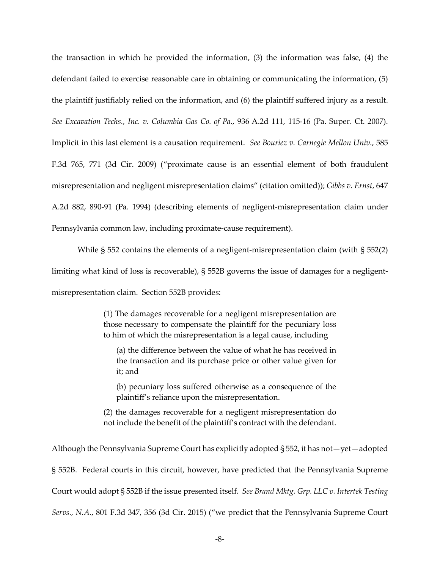the transaction in which he provided the information, (3) the information was false, (4) the defendant failed to exercise reasonable care in obtaining or communicating the information, (5) the plaintiff justifiably relied on the information, and (6) the plaintiff suffered injury as a result. *See Excavation Techs., Inc. v. Columbia Gas Co. of Pa.*, 936 A.2d 111, 115-16 (Pa. Super. Ct. 2007). Implicit in this last element is a causation requirement. *See Bouriez v. Carnegie Mellon Univ.*, 585 F.3d 765, 771 (3d Cir. 2009) ("proximate cause is an essential element of both fraudulent misrepresentation and negligent misrepresentation claims" (citation omitted)); *Gibbs v. Ernst*, 647 A.2d 882, 890-91 (Pa. 1994) (describing elements of negligent-misrepresentation claim under Pennsylvania common law, including proximate-cause requirement).

While § 552 contains the elements of a negligent-misrepresentation claim (with § 552(2) limiting what kind of loss is recoverable), § 552B governs the issue of damages for a negligentmisrepresentation claim. Section 552B provides:

> (1) The damages recoverable for a negligent misrepresentation are those necessary to compensate the plaintiff for the pecuniary loss to him of which the misrepresentation is a legal cause, including

(a) the difference between the value of what he has received in the transaction and its purchase price or other value given for it; and

(b) pecuniary loss suffered otherwise as a consequence of the plaintiff's reliance upon the misrepresentation.

(2) the damages recoverable for a negligent misrepresentation do not include the benefit of the plaintiff's contract with the defendant.

Although the Pennsylvania Supreme Court has explicitly adopted § 552, it has not—yet—adopted § 552B. Federal courts in this circuit, however, have predicted that the Pennsylvania Supreme Court would adopt § 552B if the issue presented itself. *See Brand Mktg. Grp. LLC v. Intertek Testing Servs., N.A.*, 801 F.3d 347, 356 (3d Cir. 2015) ("we predict that the Pennsylvania Supreme Court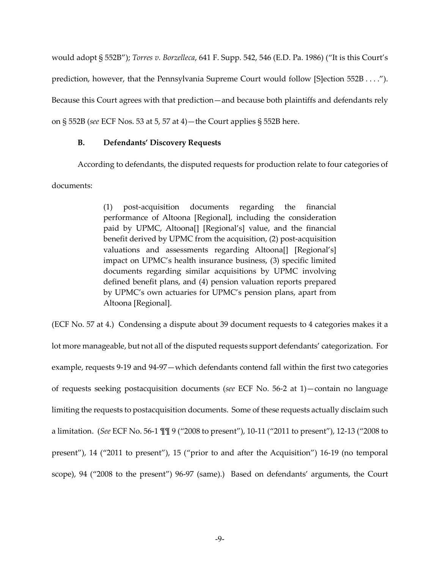would adopt § 552B"); *Torres v. Borzelleca*, 641 F. Supp. 542, 546 (E.D. Pa. 1986) ("It is this Court's prediction, however, that the Pennsylvania Supreme Court would follow [S]ection 552B . . . ."). Because this Court agrees with that prediction—and because both plaintiffs and defendants rely on § 552B (*see* ECF Nos. 53 at 5, 57 at 4)—the Court applies § 552B here.

### **B. Defendants' Discovery Requests**

According to defendants, the disputed requests for production relate to four categories of documents:

> (1) post-acquisition documents regarding the financial performance of Altoona [Regional], including the consideration paid by UPMC, Altoona[] [Regional's] value, and the financial benefit derived by UPMC from the acquisition, (2) post-acquisition valuations and assessments regarding Altoona[] [Regional's] impact on UPMC's health insurance business, (3) specific limited documents regarding similar acquisitions by UPMC involving defined benefit plans, and (4) pension valuation reports prepared by UPMC's own actuaries for UPMC's pension plans, apart from Altoona [Regional].

(ECF No. 57 at 4.) Condensing a dispute about 39 document requests to 4 categories makes it a lot more manageable, but not all of the disputed requests support defendants' categorization. For example, requests 9-19 and 94-97—which defendants contend fall within the first two categories of requests seeking postacquisition documents (*see* ECF No. 56-2 at 1)—contain no language limiting the requests to postacquisition documents. Some of these requests actually disclaim such a limitation. (*See* ECF No. 56-1 ¶¶ 9 ("2008 to present"), 10-11 ("2011 to present"), 12-13 ("2008 to present"), 14 ("2011 to present"), 15 ("prior to and after the Acquisition") 16-19 (no temporal scope), 94 ("2008 to the present") 96-97 (same).) Based on defendants' arguments, the Court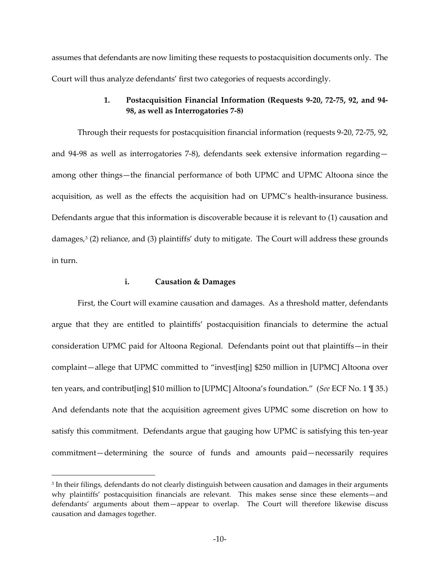assumes that defendants are now limiting these requests to postacquisition documents only. The Court will thus analyze defendants' first two categories of requests accordingly.

### **1. Postacquisition Financial Information (Requests 9-20, 72-75, 92, and 94- 98, as well as Interrogatories 7-8)**

Through their requests for postacquisition financial information (requests 9-20, 72-75, 92, and 94-98 as well as interrogatories 7-8), defendants seek extensive information regarding among other things—the financial performance of both UPMC and UPMC Altoona since the acquisition, as well as the effects the acquisition had on UPMC's health-insurance business. Defendants argue that this information is discoverable because it is relevant to (1) causation and damages,[3](#page-9-0) (2) reliance, and (3) plaintiffs' duty to mitigate. The Court will address these grounds in turn.

# **i. Causation & Damages**

l.

First, the Court will examine causation and damages. As a threshold matter, defendants argue that they are entitled to plaintiffs' postacquisition financials to determine the actual consideration UPMC paid for Altoona Regional. Defendants point out that plaintiffs—in their complaint—allege that UPMC committed to "invest[ing] \$250 million in [UPMC] Altoona over ten years, and contribut[ing] \$10 million to [UPMC] Altoona's foundation." (*See* ECF No. 1 ¶ 35.) And defendants note that the acquisition agreement gives UPMC some discretion on how to satisfy this commitment. Defendants argue that gauging how UPMC is satisfying this ten-year commitment—determining the source of funds and amounts paid—necessarily requires

<span id="page-9-0"></span> $^{\rm 3}$  In their filings, defendants do not clearly distinguish between causation and damages in their arguments  $\,$ why plaintiffs' postacquisition financials are relevant. This makes sense since these elements—and defendants' arguments about them—appear to overlap. The Court will therefore likewise discuss causation and damages together.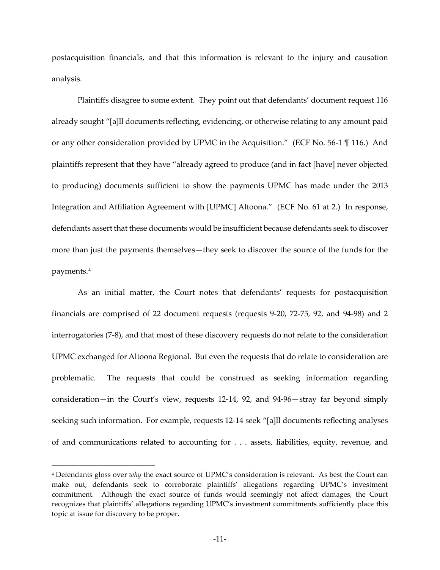postacquisition financials, and that this information is relevant to the injury and causation analysis.

Plaintiffs disagree to some extent. They point out that defendants' document request 116 already sought "[a]ll documents reflecting, evidencing, or otherwise relating to any amount paid or any other consideration provided by UPMC in the Acquisition." (ECF No. 56-1 ¶ 116.) And plaintiffs represent that they have "already agreed to produce (and in fact [have] never objected to producing) documents sufficient to show the payments UPMC has made under the 2013 Integration and Affiliation Agreement with [UPMC] Altoona." (ECF No. 61 at 2.) In response, defendants assert that these documents would be insufficient because defendants seek to discover more than just the payments themselves—they seek to discover the source of the funds for the payments.[4](#page-10-0)

As an initial matter, the Court notes that defendants' requests for postacquisition financials are comprised of 22 document requests (requests 9-20, 72-75, 92, and 94-98) and 2 interrogatories (7-8), and that most of these discovery requests do not relate to the consideration UPMC exchanged for Altoona Regional. But even the requests that do relate to consideration are problematic. The requests that could be construed as seeking information regarding consideration—in the Court's view, requests 12-14, 92, and 94-96—stray far beyond simply seeking such information. For example, requests 12-14 seek "[a]ll documents reflecting analyses of and communications related to accounting for . . . assets, liabilities, equity, revenue, and

 $\overline{a}$ 

<span id="page-10-0"></span><sup>4</sup> Defendants gloss over *why* the exact source of UPMC's consideration is relevant. As best the Court can make out, defendants seek to corroborate plaintiffs' allegations regarding UPMC's investment commitment. Although the exact source of funds would seemingly not affect damages, the Court recognizes that plaintiffs' allegations regarding UPMC's investment commitments sufficiently place this topic at issue for discovery to be proper.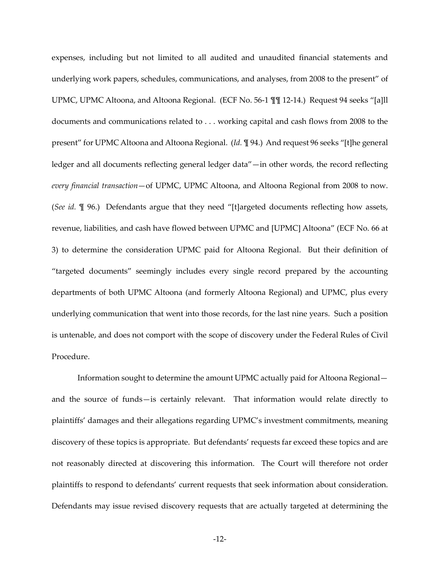expenses, including but not limited to all audited and unaudited financial statements and underlying work papers, schedules, communications, and analyses, from 2008 to the present" of UPMC, UPMC Altoona, and Altoona Regional. (ECF No. 56-1 ¶¶ 12-14.) Request 94 seeks "[a]ll documents and communications related to . . . working capital and cash flows from 2008 to the present" for UPMC Altoona and Altoona Regional. (*Id.* ¶ 94.) And request 96 seeks "[t]he general ledger and all documents reflecting general ledger data"—in other words, the record reflecting *every financial transaction*—of UPMC, UPMC Altoona, and Altoona Regional from 2008 to now. (*See id.* ¶ 96.) Defendants argue that they need "[t]argeted documents reflecting how assets, revenue, liabilities, and cash have flowed between UPMC and [UPMC] Altoona" (ECF No. 66 at 3) to determine the consideration UPMC paid for Altoona Regional. But their definition of "targeted documents" seemingly includes every single record prepared by the accounting departments of both UPMC Altoona (and formerly Altoona Regional) and UPMC, plus every underlying communication that went into those records, for the last nine years. Such a position is untenable, and does not comport with the scope of discovery under the Federal Rules of Civil Procedure.

Information sought to determine the amount UPMC actually paid for Altoona Regional and the source of funds—is certainly relevant. That information would relate directly to plaintiffs' damages and their allegations regarding UPMC's investment commitments, meaning discovery of these topics is appropriate. But defendants' requests far exceed these topics and are not reasonably directed at discovering this information. The Court will therefore not order plaintiffs to respond to defendants' current requests that seek information about consideration. Defendants may issue revised discovery requests that are actually targeted at determining the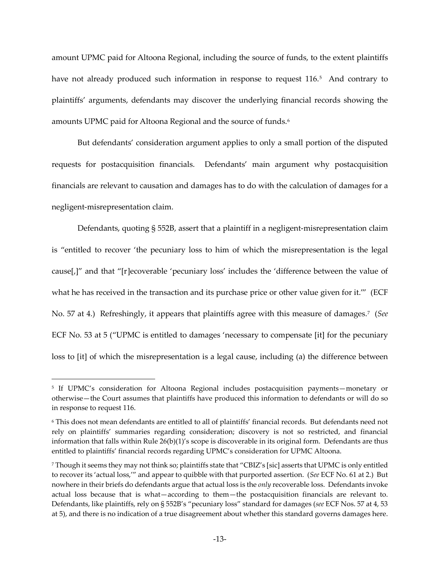amount UPMC paid for Altoona Regional, including the source of funds, to the extent plaintiffs have not already produced such information in response to request 116.<sup>[5](#page-12-0)</sup> And contrary to plaintiffs' arguments, defendants may discover the underlying financial records showing the amounts UPMC paid for Altoona Regional and the source of funds. [6](#page-12-1)

But defendants' consideration argument applies to only a small portion of the disputed requests for postacquisition financials. Defendants' main argument why postacquisition financials are relevant to causation and damages has to do with the calculation of damages for a negligent-misrepresentation claim.

Defendants, quoting § 552B, assert that a plaintiff in a negligent-misrepresentation claim is "entitled to recover 'the pecuniary loss to him of which the misrepresentation is the legal cause[,]" and that "[r]ecoverable 'pecuniary loss' includes the 'difference between the value of what he has received in the transaction and its purchase price or other value given for it."" (ECF No. 57 at 4.) Refreshingly, it appears that plaintiffs agree with this measure of damages.[7](#page-12-2) (*See* ECF No. 53 at 5 ("UPMC is entitled to damages 'necessary to compensate [it] for the pecuniary loss to [it] of which the misrepresentation is a legal cause, including (a) the difference between

 $\overline{a}$ 

<span id="page-12-0"></span><sup>5</sup> If UPMC's consideration for Altoona Regional includes postacquisition payments—monetary or otherwise—the Court assumes that plaintiffs have produced this information to defendants or will do so in response to request 116.

<span id="page-12-1"></span><sup>6</sup> This does not mean defendants are entitled to all of plaintiffs' financial records. But defendants need not rely on plaintiffs' summaries regarding consideration; discovery is not so restricted, and financial information that falls within Rule 26(b)(1)'s scope is discoverable in its original form. Defendants are thus entitled to plaintiffs' financial records regarding UPMC's consideration for UPMC Altoona.

<span id="page-12-2"></span><sup>7</sup> Though it seems they may not think so; plaintiffs state that "CBIZ's [sic] asserts that UPMC is only entitled to recover its 'actual loss,'" and appear to quibble with that purported assertion. (*See* ECF No. 61 at 2.) But nowhere in their briefs do defendants argue that actual loss is the *only* recoverable loss. Defendants invoke actual loss because that is what—according to them—the postacquisition financials are relevant to. Defendants, like plaintiffs, rely on § 552B's "pecuniary loss" standard for damages (*see* ECF Nos. 57 at 4, 53 at 5), and there is no indication of a true disagreement about whether this standard governs damages here.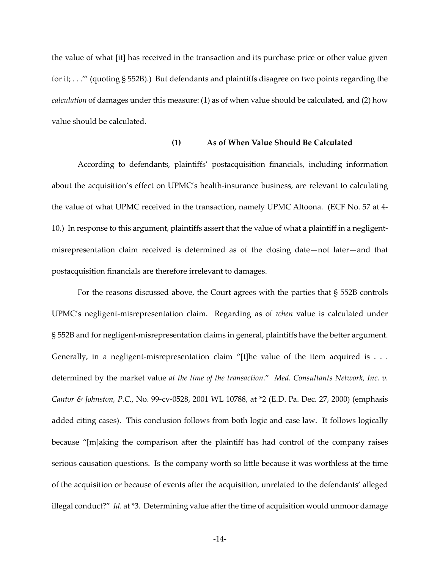the value of what [it] has received in the transaction and its purchase price or other value given for it; . . .'" (quoting § 552B).) But defendants and plaintiffs disagree on two points regarding the *calculation* of damages under this measure: (1) as of when value should be calculated, and (2) how value should be calculated.

### **(1) As of When Value Should Be Calculated**

According to defendants, plaintiffs' postacquisition financials, including information about the acquisition's effect on UPMC's health-insurance business, are relevant to calculating the value of what UPMC received in the transaction, namely UPMC Altoona. (ECF No. 57 at 4- 10.) In response to this argument, plaintiffs assert that the value of what a plaintiff in a negligentmisrepresentation claim received is determined as of the closing date—not later—and that postacquisition financials are therefore irrelevant to damages.

For the reasons discussed above, the Court agrees with the parties that § 552B controls UPMC's negligent-misrepresentation claim. Regarding as of *when* value is calculated under § 552B and for negligent-misrepresentation claims in general, plaintiffs have the better argument. Generally, in a negligent-misrepresentation claim "[t]he value of the item acquired is . . . determined by the market value *at the time of the transaction*." *Med. Consultants Network, Inc. v. Cantor & Johnston, P.C.*, No. 99-cv-0528, 2001 WL 10788, at \*2 (E.D. Pa. Dec. 27, 2000) (emphasis added citing cases). This conclusion follows from both logic and case law. It follows logically because "[m]aking the comparison after the plaintiff has had control of the company raises serious causation questions. Is the company worth so little because it was worthless at the time of the acquisition or because of events after the acquisition, unrelated to the defendants' alleged illegal conduct?" *Id.* at \*3. Determining value after the time of acquisition would unmoor damage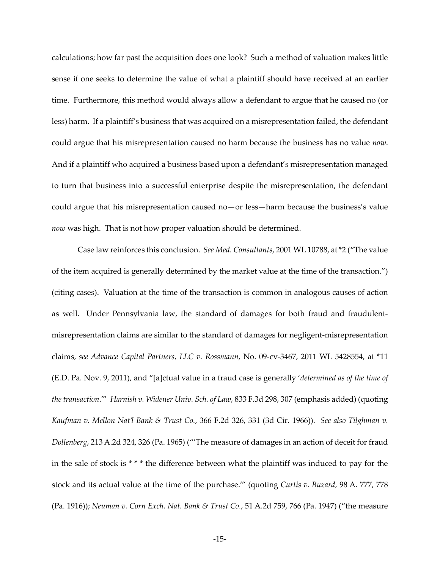calculations; how far past the acquisition does one look? Such a method of valuation makes little sense if one seeks to determine the value of what a plaintiff should have received at an earlier time. Furthermore, this method would always allow a defendant to argue that he caused no (or less) harm. If a plaintiff's business that was acquired on a misrepresentation failed, the defendant could argue that his misrepresentation caused no harm because the business has no value *now*. And if a plaintiff who acquired a business based upon a defendant's misrepresentation managed to turn that business into a successful enterprise despite the misrepresentation, the defendant could argue that his misrepresentation caused no—or less—harm because the business's value *now* was high. That is not how proper valuation should be determined.

Case law reinforces this conclusion. *See Med. Consultants*, 2001 WL 10788, at \*2 ("The value of the item acquired is generally determined by the market value at the time of the transaction.") (citing cases). Valuation at the time of the transaction is common in analogous causes of action as well. Under Pennsylvania law, the standard of damages for both fraud and fraudulentmisrepresentation claims are similar to the standard of damages for negligent-misrepresentation claims, *see Advance Capital Partners, LLC v. Rossmann*, No. 09-cv-3467, 2011 WL 5428554, at \*11 (E.D. Pa. Nov. 9, 2011), and "[a]ctual value in a fraud case is generally '*determined as of the time of the transaction*.'" *Harnish v. Widener Univ. Sch. of Law*, 833 F.3d 298, 307 (emphasis added) (quoting *Kaufman v. Mellon Nat'l Bank & Trust Co.*, 366 F.2d 326, 331 (3d Cir. 1966)). *See also Tilghman v. Dollenberg*, 213 A.2d 324, 326 (Pa. 1965) ("'The measure of damages in an action of deceit for fraud in the sale of stock is \* \* \* the difference between what the plaintiff was induced to pay for the stock and its actual value at the time of the purchase.'" (quoting *Curtis v. Buzard*, 98 A. 777, 778 (Pa. 1916)); *Neuman v. Corn Exch. Nat. Bank & Trust Co.*, 51 A.2d 759, 766 (Pa. 1947) ("the measure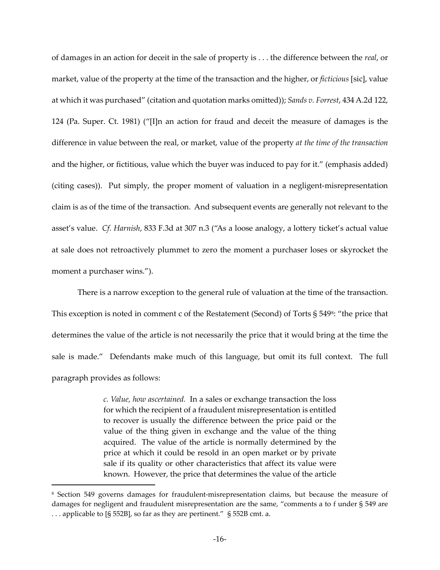of damages in an action for deceit in the sale of property is . . . the difference between the *real*, or market, value of the property at the time of the transaction and the higher, or *ficticious* [sic], value at which it was purchased" (citation and quotation marks omitted)); *Sands v. Forrest*, 434 A.2d 122, 124 (Pa. Super. Ct. 1981) ("[I]n an action for fraud and deceit the measure of damages is the difference in value between the real, or market, value of the property *at the time of the transaction* and the higher, or fictitious, value which the buyer was induced to pay for it." (emphasis added) (citing cases)). Put simply, the proper moment of valuation in a negligent-misrepresentation claim is as of the time of the transaction. And subsequent events are generally not relevant to the asset's value. *Cf. Harnish*, 833 F.3d at 307 n.3 ("As a loose analogy, a lottery ticket's actual value at sale does not retroactively plummet to zero the moment a purchaser loses or skyrocket the moment a purchaser wins.").

There is a narrow exception to the general rule of valuation at the time of the transaction. This exception is noted in comment c of the Restatement (Second) of Torts § 549<sup>[8](#page-15-0)</sup>: "the price that determines the value of the article is not necessarily the price that it would bring at the time the sale is made." Defendants make much of this language, but omit its full context. The full paragraph provides as follows:

> *c. Value, how ascertained.* In a sales or exchange transaction the loss for which the recipient of a fraudulent misrepresentation is entitled to recover is usually the difference between the price paid or the value of the thing given in exchange and the value of the thing acquired. The value of the article is normally determined by the price at which it could be resold in an open market or by private sale if its quality or other characteristics that affect its value were known. However, the price that determines the value of the article

 $\overline{a}$ 

<span id="page-15-0"></span><sup>8</sup> Section 549 governs damages for fraudulent-misrepresentation claims, but because the measure of damages for negligent and fraudulent misrepresentation are the same, "comments a to f under § 549 are . . . applicable to [§ 552B], so far as they are pertinent." § 552B cmt. a.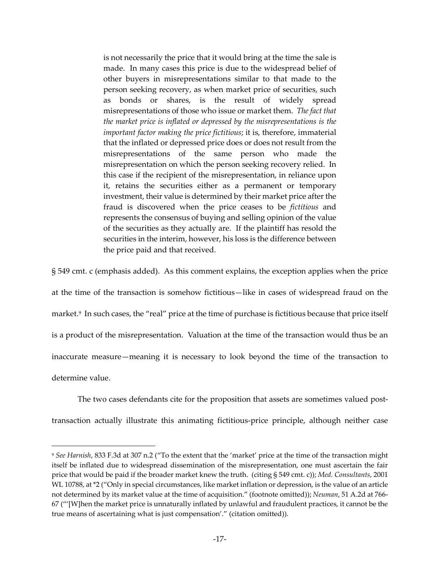is not necessarily the price that it would bring at the time the sale is made. In many cases this price is due to the widespread belief of other buyers in misrepresentations similar to that made to the person seeking recovery, as when market price of securities, such as bonds or shares, is the result of widely spread misrepresentations of those who issue or market them. *The fact that the market price is inflated or depressed by the misrepresentations is the important factor making the price fictitious*; it is, therefore, immaterial that the inflated or depressed price does or does not result from the misrepresentations of the same person who made the misrepresentation on which the person seeking recovery relied. In this case if the recipient of the misrepresentation, in reliance upon it, retains the securities either as a permanent or temporary investment, their value is determined by their market price after the fraud is discovered when the price ceases to be *fictitious* and represents the consensus of buying and selling opinion of the value of the securities as they actually are. If the plaintiff has resold the securities in the interim, however, his loss is the difference between the price paid and that received.

§ 549 cmt. c (emphasis added). As this comment explains, the exception applies when the price at the time of the transaction is somehow fictitious—like in cases of widespread fraud on the market.[9](#page-16-0) In such cases, the "real" price at the time of purchase is fictitious because that price itself is a product of the misrepresentation. Valuation at the time of the transaction would thus be an inaccurate measure—meaning it is necessary to look beyond the time of the transaction to determine value.

The two cases defendants cite for the proposition that assets are sometimes valued posttransaction actually illustrate this animating fictitious-price principle, although neither case

 $\overline{a}$ 

<span id="page-16-0"></span><sup>9</sup> *See Harnish*, 833 F.3d at 307 n.2 ("To the extent that the 'market' price at the time of the transaction might itself be inflated due to widespread dissemination of the misrepresentation, one must ascertain the fair price that would be paid if the broader market knew the truth. (citing § 549 cmt. c)); *Med. Consultants*, 2001 WL 10788, at \*2 ("Only in special circumstances, like market inflation or depression, is the value of an article not determined by its market value at the time of acquisition." (footnote omitted)); *Neuman*, 51 A.2d at 766- 67 ("'[W]hen the market price is unnaturally inflated by unlawful and fraudulent practices, it cannot be the true means of ascertaining what is just compensation'." (citation omitted)).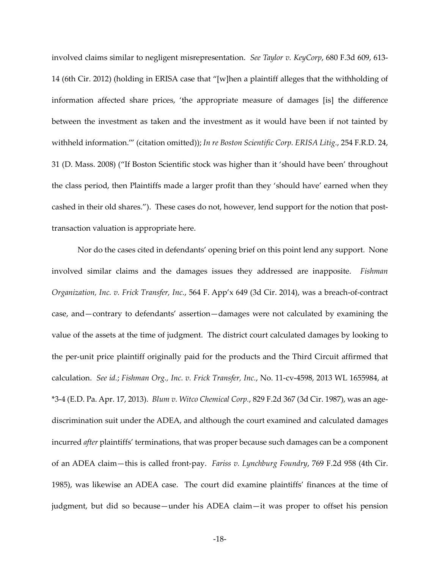involved claims similar to negligent misrepresentation. *See Taylor v. KeyCorp*, 680 F.3d 609, 613- 14 (6th Cir. 2012) (holding in ERISA case that "[w]hen a plaintiff alleges that the withholding of information affected share prices, 'the appropriate measure of damages [is] the difference between the investment as taken and the investment as it would have been if not tainted by withheld information.'" (citation omitted)); *In re Boston Scientific Corp. ERISA Litig.*, 254 F.R.D. 24, 31 (D. Mass. 2008) ("If Boston Scientific stock was higher than it 'should have been' throughout the class period, then Plaintiffs made a larger profit than they 'should have' earned when they cashed in their old shares."). These cases do not, however, lend support for the notion that posttransaction valuation is appropriate here.

Nor do the cases cited in defendants' opening brief on this point lend any support. None involved similar claims and the damages issues they addressed are inapposite. *Fishman Organization, Inc. v. Frick Transfer, Inc.*, 564 F. App'x 649 (3d Cir. 2014), was a breach-of-contract case, and—contrary to defendants' assertion—damages were not calculated by examining the value of the assets at the time of judgment. The district court calculated damages by looking to the per-unit price plaintiff originally paid for the products and the Third Circuit affirmed that calculation. *See id.*; *Fishman Org., Inc. v. Frick Transfer, Inc.*, No. 11-cv-4598, 2013 WL 1655984, at \*3-4 (E.D. Pa. Apr. 17, 2013). *Blum v. Witco Chemical Corp.*, 829 F.2d 367 (3d Cir. 1987), was an agediscrimination suit under the ADEA, and although the court examined and calculated damages incurred *after* plaintiffs' terminations, that was proper because such damages can be a component of an ADEA claim—this is called front-pay. *Fariss v. Lynchburg Foundry*, 769 F.2d 958 (4th Cir. 1985), was likewise an ADEA case. The court did examine plaintiffs' finances at the time of judgment, but did so because—under his ADEA claim—it was proper to offset his pension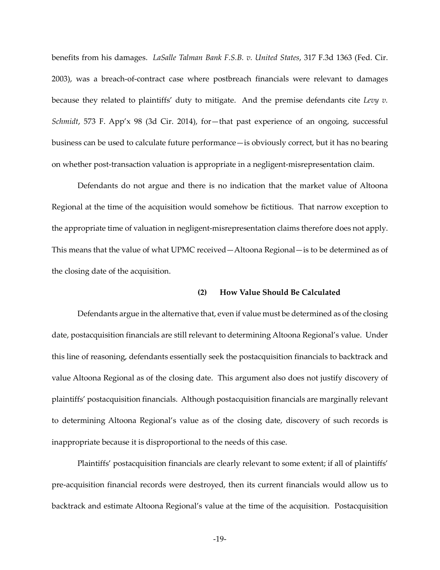benefits from his damages. *LaSalle Talman Bank F.S.B. v. United States*, 317 F.3d 1363 (Fed. Cir. 2003), was a breach-of-contract case where postbreach financials were relevant to damages because they related to plaintiffs' duty to mitigate. And the premise defendants cite *Levy v. Schmidt*, 573 F. App'x 98 (3d Cir. 2014), for—that past experience of an ongoing, successful business can be used to calculate future performance—is obviously correct, but it has no bearing on whether post-transaction valuation is appropriate in a negligent-misrepresentation claim.

Defendants do not argue and there is no indication that the market value of Altoona Regional at the time of the acquisition would somehow be fictitious. That narrow exception to the appropriate time of valuation in negligent-misrepresentation claims therefore does not apply. This means that the value of what UPMC received—Altoona Regional—is to be determined as of the closing date of the acquisition.

### **(2) How Value Should Be Calculated**

Defendants argue in the alternative that, even if value must be determined as of the closing date, postacquisition financials are still relevant to determining Altoona Regional's value. Under this line of reasoning, defendants essentially seek the postacquisition financials to backtrack and value Altoona Regional as of the closing date. This argument also does not justify discovery of plaintiffs' postacquisition financials. Although postacquisition financials are marginally relevant to determining Altoona Regional's value as of the closing date, discovery of such records is inappropriate because it is disproportional to the needs of this case.

Plaintiffs' postacquisition financials are clearly relevant to some extent; if all of plaintiffs' pre-acquisition financial records were destroyed, then its current financials would allow us to backtrack and estimate Altoona Regional's value at the time of the acquisition. Postacquisition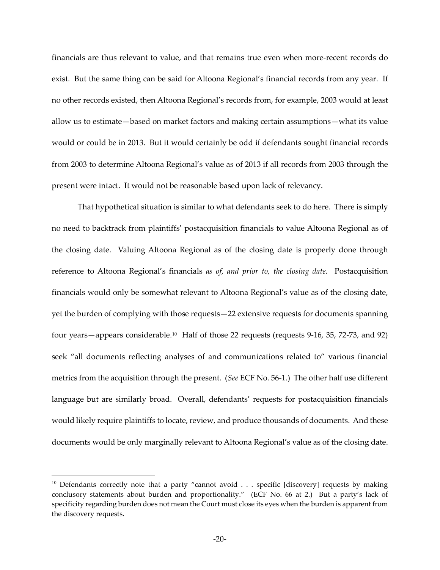financials are thus relevant to value, and that remains true even when more-recent records do exist. But the same thing can be said for Altoona Regional's financial records from any year. If no other records existed, then Altoona Regional's records from, for example, 2003 would at least allow us to estimate—based on market factors and making certain assumptions—what its value would or could be in 2013. But it would certainly be odd if defendants sought financial records from 2003 to determine Altoona Regional's value as of 2013 if all records from 2003 through the present were intact. It would not be reasonable based upon lack of relevancy.

That hypothetical situation is similar to what defendants seek to do here. There is simply no need to backtrack from plaintiffs' postacquisition financials to value Altoona Regional as of the closing date. Valuing Altoona Regional as of the closing date is properly done through reference to Altoona Regional's financials *as of, and prior to, the closing date*. Postacquisition financials would only be somewhat relevant to Altoona Regional's value as of the closing date, yet the burden of complying with those requests—22 extensive requests for documents spanning four years—appears considerable.[10](#page-19-0) Half of those 22 requests (requests 9-16, 35, 72-73, and 92) seek "all documents reflecting analyses of and communications related to" various financial metrics from the acquisition through the present. (*See* ECF No. 56-1.) The other half use different language but are similarly broad. Overall, defendants' requests for postacquisition financials would likely require plaintiffs to locate, review, and produce thousands of documents. And these documents would be only marginally relevant to Altoona Regional's value as of the closing date.

l.

<span id="page-19-0"></span><sup>&</sup>lt;sup>10</sup> Defendants correctly note that a party "cannot avoid . . . specific [discovery] requests by making conclusory statements about burden and proportionality." (ECF No. 66 at 2.) But a party's lack of specificity regarding burden does not mean the Court must close its eyes when the burden is apparent from the discovery requests.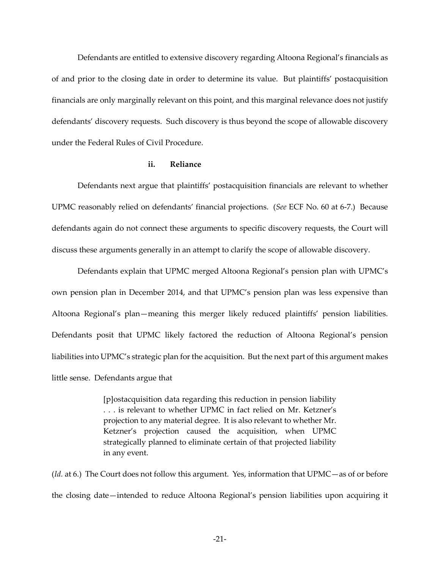Defendants are entitled to extensive discovery regarding Altoona Regional's financials as of and prior to the closing date in order to determine its value. But plaintiffs' postacquisition financials are only marginally relevant on this point, and this marginal relevance does not justify defendants' discovery requests. Such discovery is thus beyond the scope of allowable discovery under the Federal Rules of Civil Procedure.

### **ii. Reliance**

Defendants next argue that plaintiffs' postacquisition financials are relevant to whether UPMC reasonably relied on defendants' financial projections. (*See* ECF No. 60 at 6-7.) Because defendants again do not connect these arguments to specific discovery requests, the Court will discuss these arguments generally in an attempt to clarify the scope of allowable discovery.

Defendants explain that UPMC merged Altoona Regional's pension plan with UPMC's own pension plan in December 2014, and that UPMC's pension plan was less expensive than Altoona Regional's plan—meaning this merger likely reduced plaintiffs' pension liabilities. Defendants posit that UPMC likely factored the reduction of Altoona Regional's pension liabilities into UPMC's strategic plan for the acquisition. But the next part of this argument makes little sense. Defendants argue that

> [p]ostacquisition data regarding this reduction in pension liability . . . is relevant to whether UPMC in fact relied on Mr. Ketzner's projection to any material degree. It is also relevant to whether Mr. Ketzner's projection caused the acquisition, when UPMC strategically planned to eliminate certain of that projected liability in any event.

(*Id.* at 6.) The Court does not follow this argument. Yes, information that UPMC—as of or before the closing date—intended to reduce Altoona Regional's pension liabilities upon acquiring it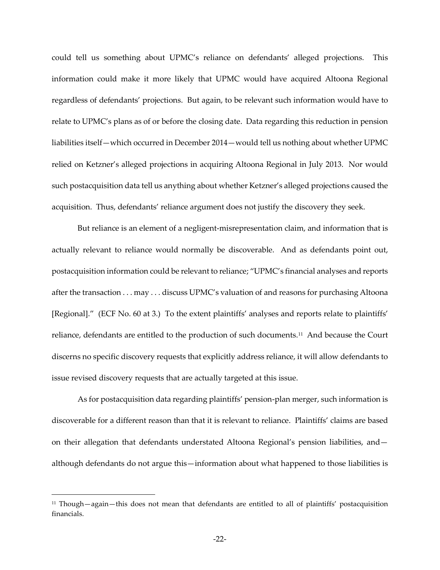could tell us something about UPMC's reliance on defendants' alleged projections. This information could make it more likely that UPMC would have acquired Altoona Regional regardless of defendants' projections. But again, to be relevant such information would have to relate to UPMC's plans as of or before the closing date. Data regarding this reduction in pension liabilities itself—which occurred in December 2014—would tell us nothing about whether UPMC relied on Ketzner's alleged projections in acquiring Altoona Regional in July 2013. Nor would such postacquisition data tell us anything about whether Ketzner's alleged projections caused the acquisition. Thus, defendants' reliance argument does not justify the discovery they seek.

But reliance is an element of a negligent-misrepresentation claim, and information that is actually relevant to reliance would normally be discoverable. And as defendants point out, postacquisition information could be relevant to reliance; "UPMC's financial analyses and reports after the transaction . . . may . . . discuss UPMC's valuation of and reasons for purchasing Altoona [Regional]." (ECF No. 60 at 3.) To the extent plaintiffs' analyses and reports relate to plaintiffs' reliance, defendants are entitled to the production of such documents.[11](#page-21-0) And because the Court discerns no specific discovery requests that explicitly address reliance, it will allow defendants to issue revised discovery requests that are actually targeted at this issue.

As for postacquisition data regarding plaintiffs' pension-plan merger, such information is discoverable for a different reason than that it is relevant to reliance. Plaintiffs' claims are based on their allegation that defendants understated Altoona Regional's pension liabilities, and although defendants do not argue this—information about what happened to those liabilities is

 $\overline{a}$ 

<span id="page-21-0"></span><sup>11</sup> Though—again—this does not mean that defendants are entitled to all of plaintiffs' postacquisition financials.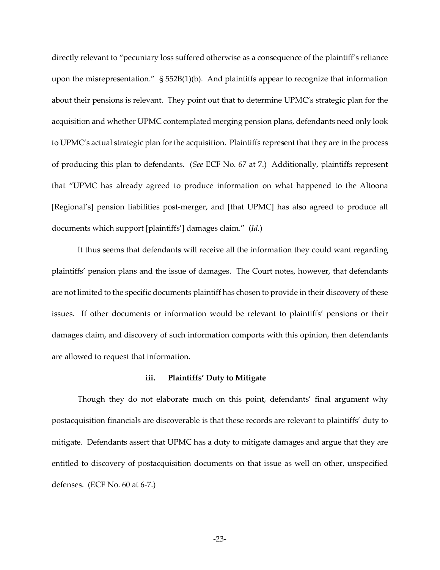directly relevant to "pecuniary loss suffered otherwise as a consequence of the plaintiff's reliance upon the misrepresentation." § 552B(1)(b). And plaintiffs appear to recognize that information about their pensions is relevant. They point out that to determine UPMC's strategic plan for the acquisition and whether UPMC contemplated merging pension plans, defendants need only look to UPMC's actual strategic plan for the acquisition. Plaintiffs represent that they are in the process of producing this plan to defendants. (*See* ECF No. 67 at 7.) Additionally, plaintiffs represent that "UPMC has already agreed to produce information on what happened to the Altoona [Regional's] pension liabilities post-merger, and [that UPMC] has also agreed to produce all documents which support [plaintiffs'] damages claim." (*Id.*)

It thus seems that defendants will receive all the information they could want regarding plaintiffs' pension plans and the issue of damages. The Court notes, however, that defendants are not limited to the specific documents plaintiff has chosen to provide in their discovery of these issues. If other documents or information would be relevant to plaintiffs' pensions or their damages claim, and discovery of such information comports with this opinion, then defendants are allowed to request that information.

### **iii. Plaintiffs' Duty to Mitigate**

Though they do not elaborate much on this point, defendants' final argument why postacquisition financials are discoverable is that these records are relevant to plaintiffs' duty to mitigate. Defendants assert that UPMC has a duty to mitigate damages and argue that they are entitled to discovery of postacquisition documents on that issue as well on other, unspecified defenses. (ECF No. 60 at 6-7.)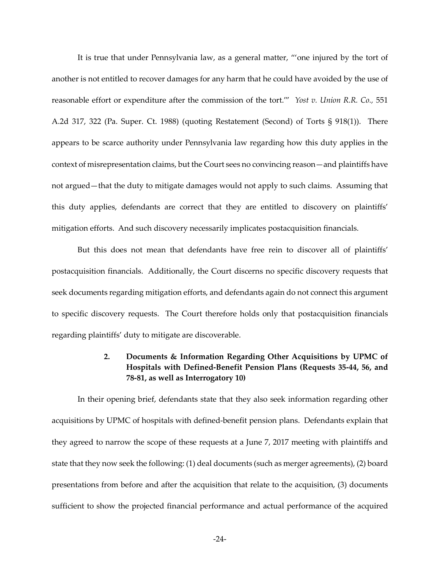It is true that under Pennsylvania law, as a general matter, "'one injured by the tort of another is not entitled to recover damages for any harm that he could have avoided by the use of reasonable effort or expenditure after the commission of the tort.'" *Yost v. Union R.R. Co.,* 551 A.2d 317, 322 (Pa. Super. Ct. 1988) (quoting Restatement (Second) of Torts § 918(1)). There appears to be scarce authority under Pennsylvania law regarding how this duty applies in the context of misrepresentation claims, but the Court sees no convincing reason—and plaintiffs have not argued—that the duty to mitigate damages would not apply to such claims. Assuming that this duty applies, defendants are correct that they are entitled to discovery on plaintiffs' mitigation efforts. And such discovery necessarily implicates postacquisition financials.

But this does not mean that defendants have free rein to discover all of plaintiffs' postacquisition financials. Additionally, the Court discerns no specific discovery requests that seek documents regarding mitigation efforts, and defendants again do not connect this argument to specific discovery requests. The Court therefore holds only that postacquisition financials regarding plaintiffs' duty to mitigate are discoverable.

# **2. Documents & Information Regarding Other Acquisitions by UPMC of Hospitals with Defined-Benefit Pension Plans (Requests 35-44, 56, and 78-81, as well as Interrogatory 10)**

In their opening brief, defendants state that they also seek information regarding other acquisitions by UPMC of hospitals with defined-benefit pension plans. Defendants explain that they agreed to narrow the scope of these requests at a June 7, 2017 meeting with plaintiffs and state that they now seek the following: (1) deal documents (such as merger agreements), (2) board presentations from before and after the acquisition that relate to the acquisition, (3) documents sufficient to show the projected financial performance and actual performance of the acquired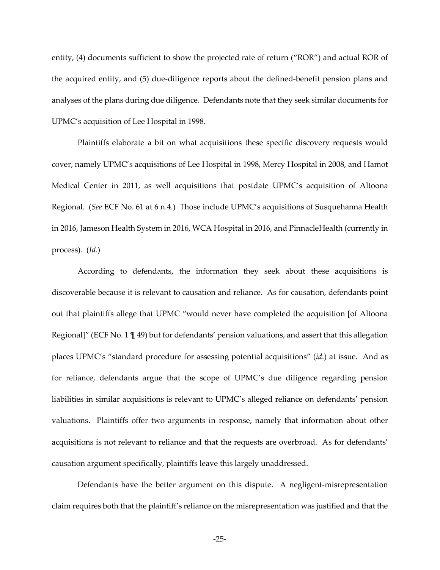entity, (4) documents sufficient to show the projected rate of return ("ROR") and actual ROR of the acquired entity, and (5) due-diligence reports about the defined-benefit pension plans and analyses of the plans during due diligence. Defendants note that they seek similar documents for UPMC's acquisition of Lee Hospital in 1998.

Plaintiffs elaborate a bit on what acquisitions these specific discovery requests would cover, namely UPMC's acquisitions of Lee Hospital in 1998, Mercy Hospital in 2008, and Hamot Medical Center in 2011, as well acquisitions that postdate UPMC's acquisition of Altoona Regional. (*See* ECF No. 61 at 6 n.4.) Those include UPMC's acquisitions of Susquehanna Health in 2016, Jameson Health System in 2016, WCA Hospital in 2016, and PinnacleHealth (currently in process). (*Id.*)

According to defendants, the information they seek about these acquisitions is discoverable because it is relevant to causation and reliance. As for causation, defendants point out that plaintiffs allege that UPMC "would never have completed the acquisition [of Altoona Regional]" (ECF No. 1  $\parallel$  49) but for defendants' pension valuations, and assert that this allegation places UPMC's "standard procedure for assessing potential acquisitions" (*id.*) at issue. And as for reliance, defendants argue that the scope of UPMC's due diligence regarding pension liabilities in similar acquisitions is relevant to UPMC's alleged reliance on defendants' pension valuations. Plaintiffs offer two arguments in response, namely that information about other acquisitions is not relevant to reliance and that the requests are overbroad. As for defendants' causation argument specifically, plaintiffs leave this largely unaddressed.

Defendants have the better argument on this dispute. A negligent-misrepresentation claim requires both that the plaintiff's reliance on the misrepresentation was justified and that the

-25-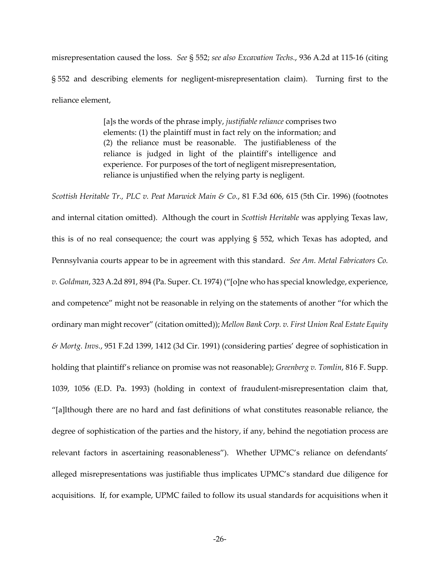misrepresentation caused the loss. *See* § 552; *see also Excavation Techs.*, 936 A.2d at 115-16 (citing § 552 and describing elements for negligent-misrepresentation claim). Turning first to the reliance element,

> [a]s the words of the phrase imply, *justifiable reliance* comprises two elements: (1) the plaintiff must in fact rely on the information; and (2) the reliance must be reasonable. The justifiableness of the reliance is judged in light of the plaintiff's intelligence and experience. For purposes of the tort of negligent misrepresentation, reliance is unjustified when the relying party is negligent.

*Scottish Heritable Tr., PLC v. Peat Marwick Main & Co.*, 81 F.3d 606, 615 (5th Cir. 1996) (footnotes and internal citation omitted). Although the court in *Scottish Heritable* was applying Texas law, this is of no real consequence; the court was applying § 552, which Texas has adopted, and Pennsylvania courts appear to be in agreement with this standard. *See Am. Metal Fabricators Co. v. Goldman*, 323 A.2d 891, 894 (Pa. Super. Ct. 1974) ("[o]ne who has special knowledge, experience, and competence" might not be reasonable in relying on the statements of another "for which the ordinary man might recover" (citation omitted)); *Mellon Bank Corp. v. First Union Real Estate Equity & Mortg. Invs.*, 951 F.2d 1399, 1412 (3d Cir. 1991) (considering parties' degree of sophistication in holding that plaintiff's reliance on promise was not reasonable); *Greenberg v. Tomlin*, 816 F. Supp. 1039, 1056 (E.D. Pa. 1993) (holding in context of fraudulent-misrepresentation claim that, "[a]lthough there are no hard and fast definitions of what constitutes reasonable reliance, the degree of sophistication of the parties and the history, if any, behind the negotiation process are relevant factors in ascertaining reasonableness"). Whether UPMC's reliance on defendants' alleged misrepresentations was justifiable thus implicates UPMC's standard due diligence for acquisitions. If, for example, UPMC failed to follow its usual standards for acquisitions when it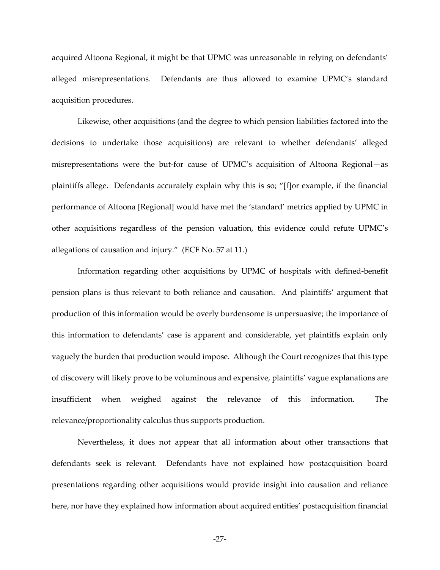acquired Altoona Regional, it might be that UPMC was unreasonable in relying on defendants' alleged misrepresentations. Defendants are thus allowed to examine UPMC's standard acquisition procedures.

Likewise, other acquisitions (and the degree to which pension liabilities factored into the decisions to undertake those acquisitions) are relevant to whether defendants' alleged misrepresentations were the but-for cause of UPMC's acquisition of Altoona Regional—as plaintiffs allege. Defendants accurately explain why this is so; "[f]or example, if the financial performance of Altoona [Regional] would have met the 'standard' metrics applied by UPMC in other acquisitions regardless of the pension valuation, this evidence could refute UPMC's allegations of causation and injury." (ECF No. 57 at 11.)

Information regarding other acquisitions by UPMC of hospitals with defined-benefit pension plans is thus relevant to both reliance and causation. And plaintiffs' argument that production of this information would be overly burdensome is unpersuasive; the importance of this information to defendants' case is apparent and considerable, yet plaintiffs explain only vaguely the burden that production would impose. Although the Court recognizes that this type of discovery will likely prove to be voluminous and expensive, plaintiffs' vague explanations are insufficient when weighed against the relevance of this information. The relevance/proportionality calculus thus supports production.

Nevertheless, it does not appear that all information about other transactions that defendants seek is relevant. Defendants have not explained how postacquisition board presentations regarding other acquisitions would provide insight into causation and reliance here, nor have they explained how information about acquired entities' postacquisition financial

-27-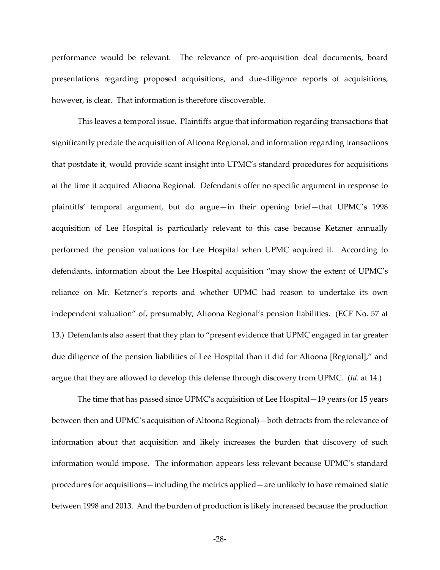performance would be relevant. The relevance of pre-acquisition deal documents, board presentations regarding proposed acquisitions, and due-diligence reports of acquisitions, however, is clear. That information is therefore discoverable.

This leaves a temporal issue. Plaintiffs argue that information regarding transactions that significantly predate the acquisition of Altoona Regional, and information regarding transactions that postdate it, would provide scant insight into UPMC's standard procedures for acquisitions at the time it acquired Altoona Regional. Defendants offer no specific argument in response to plaintiffs' temporal argument, but do argue—in their opening brief—that UPMC's 1998 acquisition of Lee Hospital is particularly relevant to this case because Ketzner annually performed the pension valuations for Lee Hospital when UPMC acquired it. According to defendants, information about the Lee Hospital acquisition "may show the extent of UPMC's reliance on Mr. Ketzner's reports and whether UPMC had reason to undertake its own independent valuation" of, presumably, Altoona Regional's pension liabilities. (ECF No. 57 at 13.) Defendants also assert that they plan to "present evidence that UPMC engaged in far greater due diligence of the pension liabilities of Lee Hospital than it did for Altoona [Regional]," and argue that they are allowed to develop this defense through discovery from UPMC. (*Id.* at 14.)

The time that has passed since UPMC's acquisition of Lee Hospital—19 years (or 15 years between then and UPMC's acquisition of Altoona Regional)—both detracts from the relevance of information about that acquisition and likely increases the burden that discovery of such information would impose. The information appears less relevant because UPMC's standard procedures for acquisitions—including the metrics applied—are unlikely to have remained static between 1998 and 2013. And the burden of production is likely increased because the production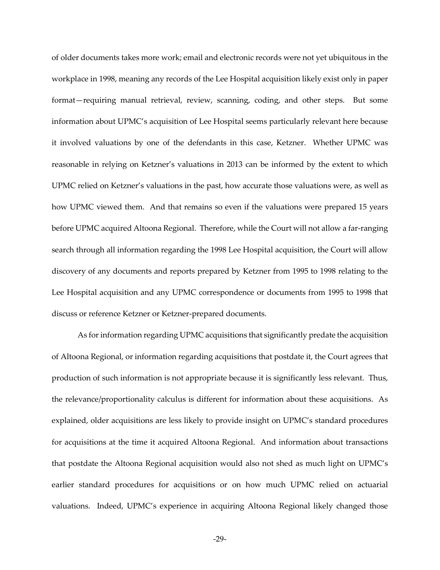of older documents takes more work; email and electronic records were not yet ubiquitous in the workplace in 1998, meaning any records of the Lee Hospital acquisition likely exist only in paper format—requiring manual retrieval, review, scanning, coding, and other steps. But some information about UPMC's acquisition of Lee Hospital seems particularly relevant here because it involved valuations by one of the defendants in this case, Ketzner. Whether UPMC was reasonable in relying on Ketzner's valuations in 2013 can be informed by the extent to which UPMC relied on Ketzner's valuations in the past, how accurate those valuations were, as well as how UPMC viewed them. And that remains so even if the valuations were prepared 15 years before UPMC acquired Altoona Regional. Therefore, while the Court will not allow a far-ranging search through all information regarding the 1998 Lee Hospital acquisition, the Court will allow discovery of any documents and reports prepared by Ketzner from 1995 to 1998 relating to the Lee Hospital acquisition and any UPMC correspondence or documents from 1995 to 1998 that discuss or reference Ketzner or Ketzner-prepared documents.

As for information regarding UPMC acquisitions that significantly predate the acquisition of Altoona Regional, or information regarding acquisitions that postdate it, the Court agrees that production of such information is not appropriate because it is significantly less relevant. Thus, the relevance/proportionality calculus is different for information about these acquisitions. As explained, older acquisitions are less likely to provide insight on UPMC's standard procedures for acquisitions at the time it acquired Altoona Regional. And information about transactions that postdate the Altoona Regional acquisition would also not shed as much light on UPMC's earlier standard procedures for acquisitions or on how much UPMC relied on actuarial valuations. Indeed, UPMC's experience in acquiring Altoona Regional likely changed those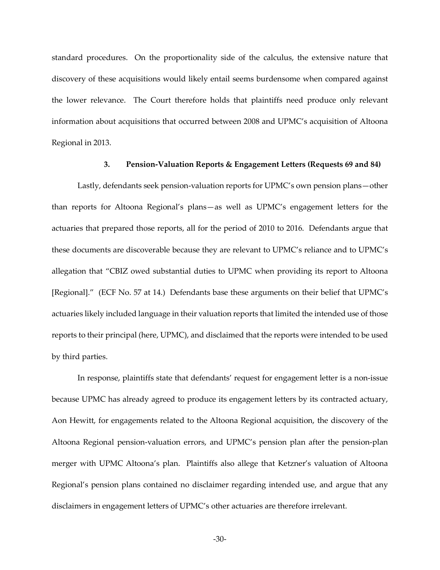standard procedures. On the proportionality side of the calculus, the extensive nature that discovery of these acquisitions would likely entail seems burdensome when compared against the lower relevance. The Court therefore holds that plaintiffs need produce only relevant information about acquisitions that occurred between 2008 and UPMC's acquisition of Altoona Regional in 2013.

#### **3. Pension-Valuation Reports & Engagement Letters (Requests 69 and 84)**

Lastly, defendants seek pension-valuation reports for UPMC's own pension plans—other than reports for Altoona Regional's plans—as well as UPMC's engagement letters for the actuaries that prepared those reports, all for the period of 2010 to 2016. Defendants argue that these documents are discoverable because they are relevant to UPMC's reliance and to UPMC's allegation that "CBIZ owed substantial duties to UPMC when providing its report to Altoona [Regional]." (ECF No. 57 at 14.) Defendants base these arguments on their belief that UPMC's actuaries likely included language in their valuation reports that limited the intended use of those reports to their principal (here, UPMC), and disclaimed that the reports were intended to be used by third parties.

In response, plaintiffs state that defendants' request for engagement letter is a non-issue because UPMC has already agreed to produce its engagement letters by its contracted actuary, Aon Hewitt, for engagements related to the Altoona Regional acquisition, the discovery of the Altoona Regional pension-valuation errors, and UPMC's pension plan after the pension-plan merger with UPMC Altoona's plan. Plaintiffs also allege that Ketzner's valuation of Altoona Regional's pension plans contained no disclaimer regarding intended use, and argue that any disclaimers in engagement letters of UPMC's other actuaries are therefore irrelevant.

-30-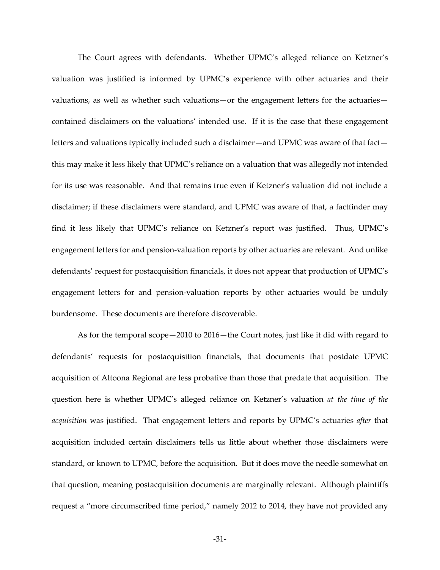The Court agrees with defendants. Whether UPMC's alleged reliance on Ketzner's valuation was justified is informed by UPMC's experience with other actuaries and their valuations, as well as whether such valuations—or the engagement letters for the actuaries contained disclaimers on the valuations' intended use. If it is the case that these engagement letters and valuations typically included such a disclaimer—and UPMC was aware of that fact this may make it less likely that UPMC's reliance on a valuation that was allegedly not intended for its use was reasonable. And that remains true even if Ketzner's valuation did not include a disclaimer; if these disclaimers were standard, and UPMC was aware of that, a factfinder may find it less likely that UPMC's reliance on Ketzner's report was justified. Thus, UPMC's engagement letters for and pension-valuation reports by other actuaries are relevant. And unlike defendants' request for postacquisition financials, it does not appear that production of UPMC's engagement letters for and pension-valuation reports by other actuaries would be unduly burdensome. These documents are therefore discoverable.

As for the temporal scope—2010 to 2016—the Court notes, just like it did with regard to defendants' requests for postacquisition financials, that documents that postdate UPMC acquisition of Altoona Regional are less probative than those that predate that acquisition. The question here is whether UPMC's alleged reliance on Ketzner's valuation *at the time of the acquisition* was justified. That engagement letters and reports by UPMC's actuaries *after* that acquisition included certain disclaimers tells us little about whether those disclaimers were standard, or known to UPMC, before the acquisition. But it does move the needle somewhat on that question, meaning postacquisition documents are marginally relevant. Although plaintiffs request a "more circumscribed time period," namely 2012 to 2014, they have not provided any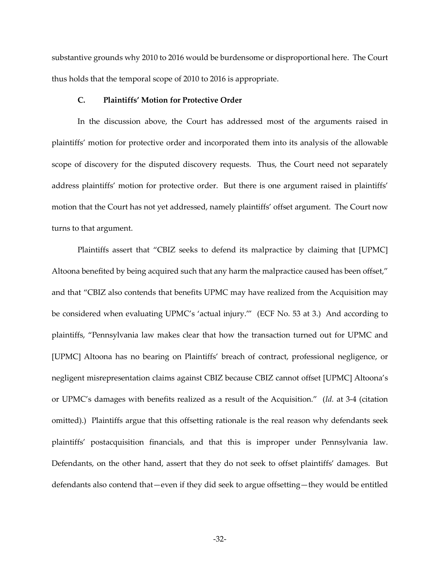substantive grounds why 2010 to 2016 would be burdensome or disproportional here. The Court thus holds that the temporal scope of 2010 to 2016 is appropriate.

### **C. Plaintiffs' Motion for Protective Order**

In the discussion above, the Court has addressed most of the arguments raised in plaintiffs' motion for protective order and incorporated them into its analysis of the allowable scope of discovery for the disputed discovery requests. Thus, the Court need not separately address plaintiffs' motion for protective order. But there is one argument raised in plaintiffs' motion that the Court has not yet addressed, namely plaintiffs' offset argument. The Court now turns to that argument.

Plaintiffs assert that "CBIZ seeks to defend its malpractice by claiming that [UPMC] Altoona benefited by being acquired such that any harm the malpractice caused has been offset," and that "CBIZ also contends that benefits UPMC may have realized from the Acquisition may be considered when evaluating UPMC's 'actual injury.'" (ECF No. 53 at 3.) And according to plaintiffs, "Pennsylvania law makes clear that how the transaction turned out for UPMC and [UPMC] Altoona has no bearing on Plaintiffs' breach of contract, professional negligence, or negligent misrepresentation claims against CBIZ because CBIZ cannot offset [UPMC] Altoona's or UPMC's damages with benefits realized as a result of the Acquisition." (*Id.* at 3-4 (citation omitted).) Plaintiffs argue that this offsetting rationale is the real reason why defendants seek plaintiffs' postacquisition financials, and that this is improper under Pennsylvania law. Defendants, on the other hand, assert that they do not seek to offset plaintiffs' damages. But defendants also contend that—even if they did seek to argue offsetting—they would be entitled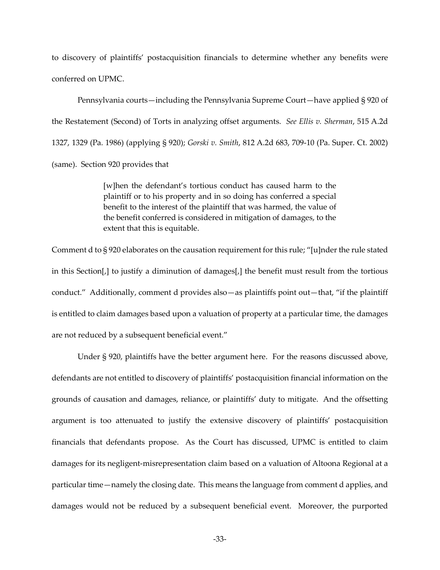to discovery of plaintiffs' postacquisition financials to determine whether any benefits were conferred on UPMC.

Pennsylvania courts—including the Pennsylvania Supreme Court—have applied § 920 of the Restatement (Second) of Torts in analyzing offset arguments. *See Ellis v. Sherman*, 515 A.2d 1327, 1329 (Pa. 1986) (applying § 920); *Gorski v. Smith*, 812 A.2d 683, 709-10 (Pa. Super. Ct. 2002) (same). Section 920 provides that

> [w]hen the defendant's tortious conduct has caused harm to the plaintiff or to his property and in so doing has conferred a special benefit to the interest of the plaintiff that was harmed, the value of the benefit conferred is considered in mitigation of damages, to the extent that this is equitable.

Comment d to § 920 elaborates on the causation requirement for this rule; "[u]nder the rule stated in this Section[,] to justify a diminution of damages[,] the benefit must result from the tortious conduct." Additionally, comment d provides also—as plaintiffs point out—that, "if the plaintiff is entitled to claim damages based upon a valuation of property at a particular time, the damages are not reduced by a subsequent beneficial event."

Under § 920, plaintiffs have the better argument here. For the reasons discussed above, defendants are not entitled to discovery of plaintiffs' postacquisition financial information on the grounds of causation and damages, reliance, or plaintiffs' duty to mitigate. And the offsetting argument is too attenuated to justify the extensive discovery of plaintiffs' postacquisition financials that defendants propose. As the Court has discussed, UPMC is entitled to claim damages for its negligent-misrepresentation claim based on a valuation of Altoona Regional at a particular time—namely the closing date. This means the language from comment d applies, and damages would not be reduced by a subsequent beneficial event. Moreover, the purported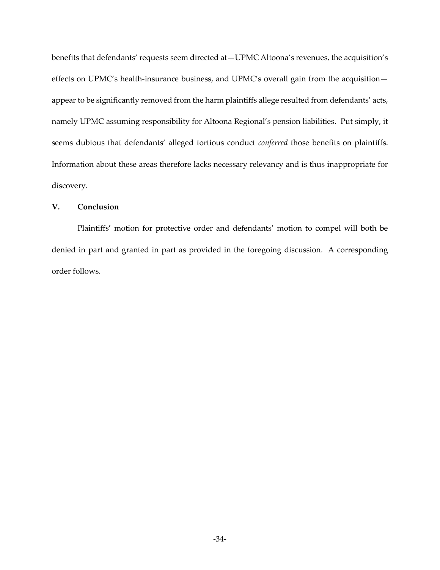benefits that defendants' requests seem directed at—UPMC Altoona's revenues, the acquisition's effects on UPMC's health-insurance business, and UPMC's overall gain from the acquisition appear to be significantly removed from the harm plaintiffs allege resulted from defendants' acts, namely UPMC assuming responsibility for Altoona Regional's pension liabilities. Put simply, it seems dubious that defendants' alleged tortious conduct *conferred* those benefits on plaintiffs. Information about these areas therefore lacks necessary relevancy and is thus inappropriate for discovery.

# **V. Conclusion**

Plaintiffs' motion for protective order and defendants' motion to compel will both be denied in part and granted in part as provided in the foregoing discussion. A corresponding order follows.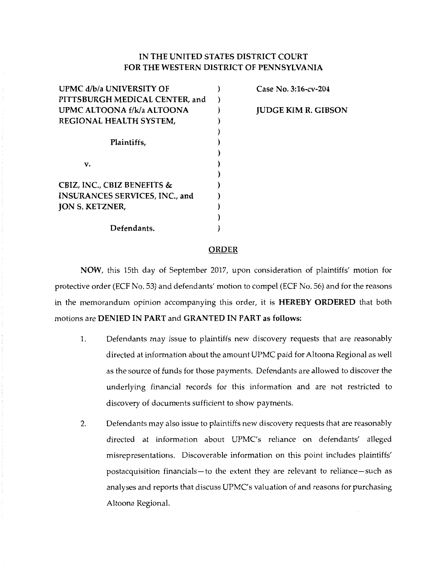# **IN THE UNITED STATES DISTRICT COURT FOR THE WESTERN DISTRICT OF PENNSYLVANIA**

| UPMC d/b/a UNIVERSITY OF               |  |
|----------------------------------------|--|
| PITTSBURGH MEDICAL CENTER, and         |  |
| UPMC ALTOONA f/k/a ALTOONA             |  |
| REGIONAL HEALTH SYSTEM,                |  |
|                                        |  |
| Plaintiffs,                            |  |
|                                        |  |
| v.                                     |  |
|                                        |  |
| <b>CBIZ, INC., CBIZ BENEFITS &amp;</b> |  |
| INSURANCES SERVICES, INC., and         |  |
| <b>JON S. KETZNER,</b>                 |  |
|                                        |  |
| Defendants.                            |  |

# **Case No. 3:16-cv-204**

**JUDGE KIM R. GIBSON** 

#### **ORDER**

**NOW,** this 15th day of September 2017, upon consideration of plaintiffs' motion for protective order (ECF No. 53) and defendants' motion to compel (ECF No. 56) and for the reasons in the memorandum opinion accompanying this order, it is **HEREBY ORDERED** that both motions are **DENIED IN PART** and **GRANTED IN PART as follows:** 

- 1. Defendants may issue to plaintiffs new discovery requests that are reasonably directed at information about the amount UPMC paid for Altoona Regional as well as the source of funds for those payments. Defendants are allowed to discover the underlying financial records for this information and are not restricted to discovery of documents sufficient to show payments.
- 2. Defendants may also issue to plaintiffs new discovery requests that are reasonably directed at information about UPMC's reliance on defendants' alleged misrepresentations. Discoverable information on this point includes plaintiffs' postacquisition financials-to the extent they are relevant to reliance-such as analyses and reports that discuss UPMC's valuation of and reasons for purchasing Altoona Regional.